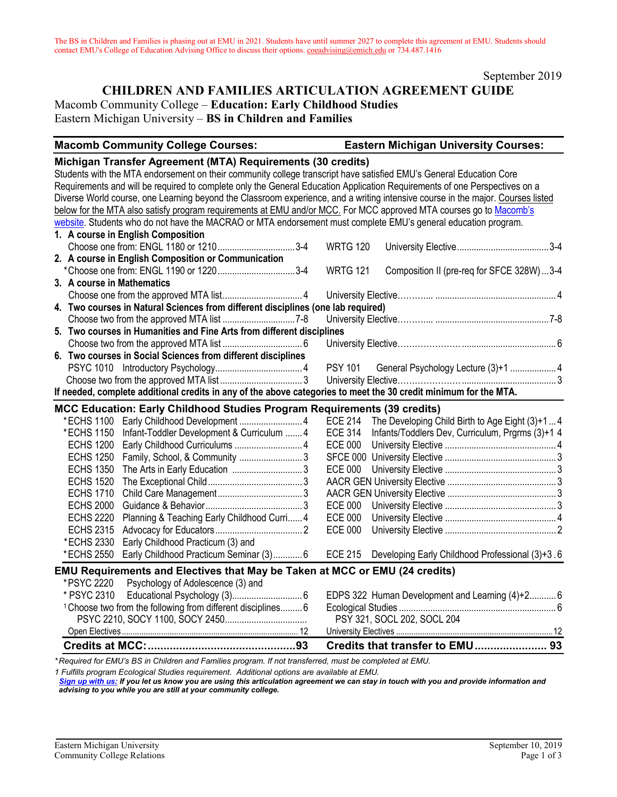September 2019

# **CHILDREN AND FAMILIES ARTICULATION AGREEMENT GUIDE**

Macomb Community College – **Education: Early Childhood Studies**

Eastern Michigan University – **BS in Children and Families**

| <b>Macomb Community College Courses:</b>                                                                                        | <b>Eastern Michigan University Courses:</b>                        |
|---------------------------------------------------------------------------------------------------------------------------------|--------------------------------------------------------------------|
| Michigan Transfer Agreement (MTA) Requirements (30 credits)                                                                     |                                                                    |
| Students with the MTA endorsement on their community college transcript have satisfied EMU's General Education Core             |                                                                    |
| Requirements and will be required to complete only the General Education Application Requirements of one Perspectives on a      |                                                                    |
| Diverse World course, one Learning beyond the Classroom experience, and a writing intensive course in the major. Courses listed |                                                                    |
| below for the MTA also satisfy program requirements at EMU and/or MCC. For MCC approved MTA courses go to Macomb's              |                                                                    |
| website. Students who do not have the MACRAO or MTA endorsement must complete EMU's general education program.                  |                                                                    |
| 1. A course in English Composition                                                                                              |                                                                    |
| Choose one from: ENGL 1180 or 12103-4                                                                                           | <b>WRTG 120</b>                                                    |
| 2. A course in English Composition or Communication                                                                             |                                                                    |
| *Choose one from: ENGL 1190 or 12203-4                                                                                          | Composition II (pre-req for SFCE 328W)  3-4<br><b>WRTG 121</b>     |
| 3. A course in Mathematics                                                                                                      |                                                                    |
|                                                                                                                                 |                                                                    |
| 4. Two courses in Natural Sciences from different disciplines (one lab required)                                                |                                                                    |
|                                                                                                                                 |                                                                    |
| 5. Two courses in Humanities and Fine Arts from different disciplines                                                           |                                                                    |
|                                                                                                                                 |                                                                    |
| 6. Two courses in Social Sciences from different disciplines                                                                    |                                                                    |
|                                                                                                                                 | <b>PSY 101</b><br>General Psychology Lecture (3)+1  4              |
|                                                                                                                                 |                                                                    |
| If needed, complete additional credits in any of the above categories to meet the 30 credit minimum for the MTA.                |                                                                    |
| <b>MCC Education: Early Childhood Studies Program Requirements (39 credits)</b>                                                 |                                                                    |
| *ECHS 1100 Early Childhood Development  4                                                                                       | <b>ECE 214</b><br>The Developing Child Birth to Age Eight (3)+1  4 |
| Infant-Toddler Development & Curriculum  4<br>*ECHS 1150                                                                        | <b>ECE 314</b><br>Infants/Toddlers Dev, Curriculum, Prgrms (3)+1 4 |
| <b>ECHS 1200</b><br>Early Childhood Curriculums  4                                                                              | <b>ECE 000</b>                                                     |
| <b>ECHS 1250</b><br>Family, School, & Community 3                                                                               |                                                                    |
| <b>ECHS 1350</b>                                                                                                                | <b>ECE 000</b>                                                     |
| <b>ECHS 1520</b>                                                                                                                |                                                                    |
| <b>ECHS 1710</b>                                                                                                                |                                                                    |
| <b>ECHS 2000</b>                                                                                                                | <b>ECE 000</b>                                                     |
| <b>ECHS 2220</b><br>Planning & Teaching Early Childhood Curri 4                                                                 | <b>ECE 000</b>                                                     |
| <b>ECHS 2315</b>                                                                                                                | <b>ECE 000</b>                                                     |
| *ECHS 2330<br>Early Childhood Practicum (3) and                                                                                 |                                                                    |
| *ECHS 2550<br>Early Childhood Practicum Seminar (3) 6                                                                           | ECE 215 Developing Early Childhood Professional (3)+3.6            |
| <b>EMU Requirements and Electives that May be Taken at MCC or EMU (24 credits)</b>                                              |                                                                    |
| Psychology of Adolescence (3) and<br>*PSYC 2220                                                                                 |                                                                    |
| * PSYC 2310                                                                                                                     | EDPS 322 Human Development and Learning (4)+2 6                    |
| <sup>1</sup> Choose two from the following from different disciplines 6                                                         |                                                                    |
|                                                                                                                                 | PSY 321, SOCL 202, SOCL 204                                        |
|                                                                                                                                 |                                                                    |
|                                                                                                                                 |                                                                    |

*\* Required for EMU's BS in Children and Families program. If not transferred, must be completed at EMU.* 

*1 Fulfills program Ecological Studies requirement. Additional options are available at EMU.*

*[Sign up with us:](https://www.emich.edu/ccr/articulation-agreements/signup.php) If you let us know you are using this articulation agreement we can stay in touch with you and provide information and advising to you while you are still at your community college.*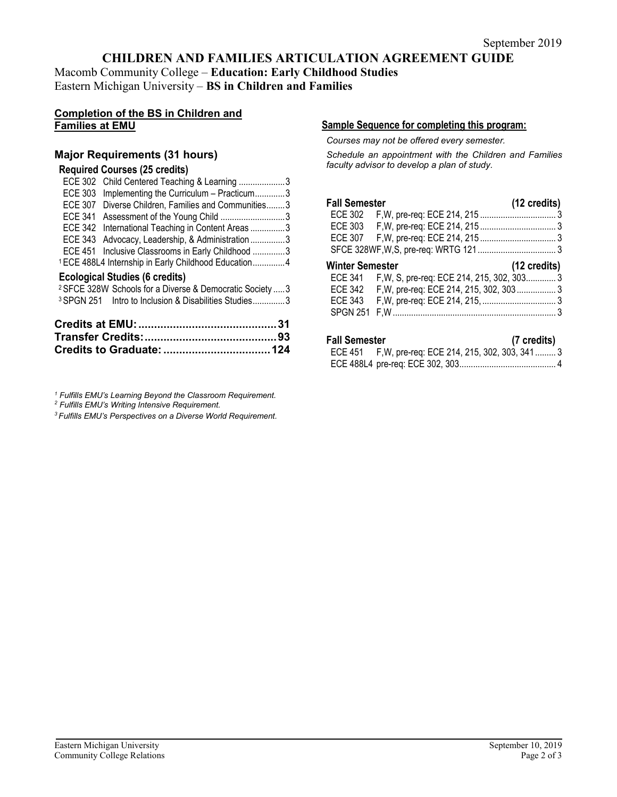## **CHILDREN AND FAMILIES ARTICULATION AGREEMENT GUIDE**

Macomb Community College – **Education: Early Childhood Studies** Eastern Michigan University – **BS in Children and Families**

## **Completion of the BS in Children and Families at EMU**

## **Major Requirements (31 hours)**

## **Required Courses (25 credits)**

|                | ECE 302 Child Centered Teaching & Learning 3                         |  |
|----------------|----------------------------------------------------------------------|--|
| <b>ECE 303</b> | Implementing the Curriculum - Practicum3                             |  |
| <b>ECE 307</b> | Diverse Children, Families and Communities3                          |  |
| ECE 341        |                                                                      |  |
|                | ECE 342 International Teaching in Content Areas 3                    |  |
|                | ECE 343 Advocacy, Leadership, & Administration3                      |  |
|                | ECE 451 Inclusive Classrooms in Early Childhood 3                    |  |
|                | <sup>1</sup> ECE 488L4 Internship in Early Childhood Education4      |  |
|                | <b>Ecological Studies (6 credits)</b>                                |  |
|                | <sup>2</sup> SFCE 328W Schools for a Diverse & Democratic Society  3 |  |
|                | <sup>3</sup> SPGN 251 Intro to Inclusion & Disabilities Studies3     |  |
|                |                                                                      |  |

*<sup>1</sup> Fulfills EMU's Learning Beyond the Classroom Requirement.*

*<sup>2</sup> Fulfills EMU's Writing Intensive Requirement.*

*3 Fulfills EMU's Perspectives on a Diverse World Requirement.*

#### **Sample Sequence for completing this program:**

*Courses may not be offered every semester.* 

*Schedule an appointment with the Children and Families faculty advisor to develop a plan of study.*

| <b>Fall Semester</b>   |                                                    | $(12 \text{ credits})$ |
|------------------------|----------------------------------------------------|------------------------|
|                        |                                                    |                        |
|                        |                                                    |                        |
|                        |                                                    |                        |
|                        |                                                    |                        |
| <b>Winter Semester</b> |                                                    | $(12 \text{ credits})$ |
|                        | ECE 341 F, W, S, pre-req: ECE 214, 215, 302, 303 3 |                        |
|                        | ECE 342 F, W, pre-req: ECE 214, 215, 302, 303 3    |                        |
|                        |                                                    |                        |
| <b>SPGN 251</b>        |                                                    |                        |

#### **Fall Semester (7 credits)**

| ECE 451 F, W, pre-req: ECE 214, 215, 302, 303, 341 3 |  |
|------------------------------------------------------|--|
|                                                      |  |